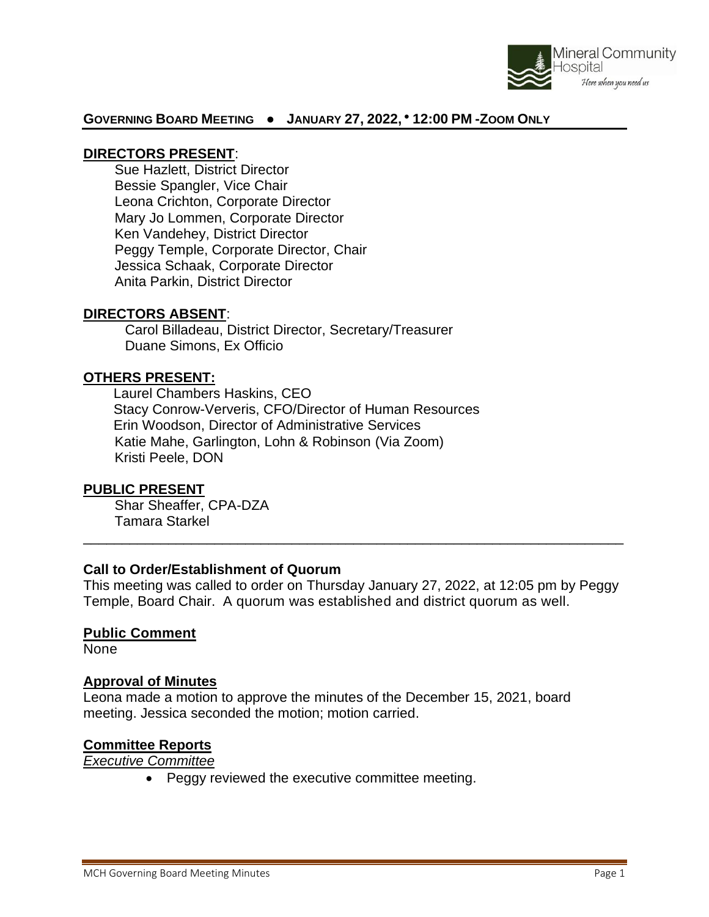

### **GOVERNING BOARD MEETING ● JANUARY 27, 2022, ● 12:00 PM -ZOOM ONLY**

### **DIRECTORS PRESENT**:

Sue Hazlett, District Director Bessie Spangler, Vice Chair Leona Crichton, Corporate Director Mary Jo Lommen, Corporate Director Ken Vandehey, District Director Peggy Temple, Corporate Director, Chair Jessica Schaak, Corporate Director Anita Parkin, District Director

### **DIRECTORS ABSENT**:

Carol Billadeau, District Director, Secretary/Treasurer Duane Simons, Ex Officio

### **OTHERS PRESENT:**

Laurel Chambers Haskins, CEO Stacy Conrow-Ververis, CFO/Director of Human Resources Erin Woodson, Director of Administrative Services Katie Mahe, Garlington, Lohn & Robinson (Via Zoom) Kristi Peele, DON

### **PUBLIC PRESENT**

Shar Sheaffer, CPA-DZA Tamara Starkel

### **Call to Order/Establishment of Quorum**

This meeting was called to order on Thursday January 27, 2022, at 12:05 pm by Peggy Temple, Board Chair. A quorum was established and district quorum as well.

\_\_\_\_\_\_\_\_\_\_\_\_\_\_\_\_\_\_\_\_\_\_\_\_\_\_\_\_\_\_\_\_\_\_\_\_\_\_\_\_\_\_\_\_\_\_\_\_\_\_\_\_\_\_\_\_\_\_\_\_\_\_\_\_\_\_\_\_\_\_

### **Public Comment**

None

### **Approval of Minutes**

Leona made a motion to approve the minutes of the December 15, 2021, board meeting. Jessica seconded the motion; motion carried.

### **Committee Reports**

*Executive Committee* 

• Peggy reviewed the executive committee meeting.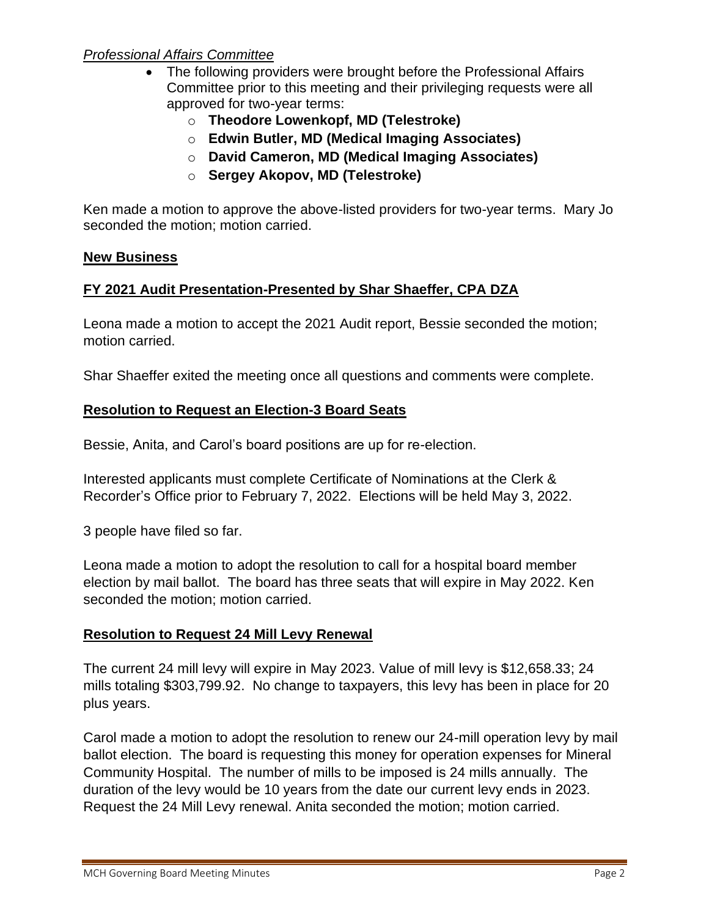## *Professional Affairs Committee*

- The following providers were brought before the Professional Affairs Committee prior to this meeting and their privileging requests were all approved for two-year terms:
	- o **Theodore Lowenkopf, MD (Telestroke)**
	- o **Edwin Butler, MD (Medical Imaging Associates)**
	- o **David Cameron, MD (Medical Imaging Associates)**
	- o **Sergey Akopov, MD (Telestroke)**

Ken made a motion to approve the above-listed providers for two-year terms. Mary Jo seconded the motion; motion carried.

### **New Business**

# **FY 2021 Audit Presentation-Presented by Shar Shaeffer, CPA DZA**

Leona made a motion to accept the 2021 Audit report, Bessie seconded the motion; motion carried.

Shar Shaeffer exited the meeting once all questions and comments were complete.

# **Resolution to Request an Election-3 Board Seats**

Bessie, Anita, and Carol's board positions are up for re-election.

Interested applicants must complete Certificate of Nominations at the Clerk & Recorder's Office prior to February 7, 2022. Elections will be held May 3, 2022.

3 people have filed so far.

Leona made a motion to adopt the resolution to call for a hospital board member election by mail ballot. The board has three seats that will expire in May 2022. Ken seconded the motion; motion carried.

# **Resolution to Request 24 Mill Levy Renewal**

The current 24 mill levy will expire in May 2023. Value of mill levy is \$12,658.33; 24 mills totaling \$303,799.92. No change to taxpayers, this levy has been in place for 20 plus years.

Carol made a motion to adopt the resolution to renew our 24-mill operation levy by mail ballot election. The board is requesting this money for operation expenses for Mineral Community Hospital. The number of mills to be imposed is 24 mills annually. The duration of the levy would be 10 years from the date our current levy ends in 2023. Request the 24 Mill Levy renewal. Anita seconded the motion; motion carried.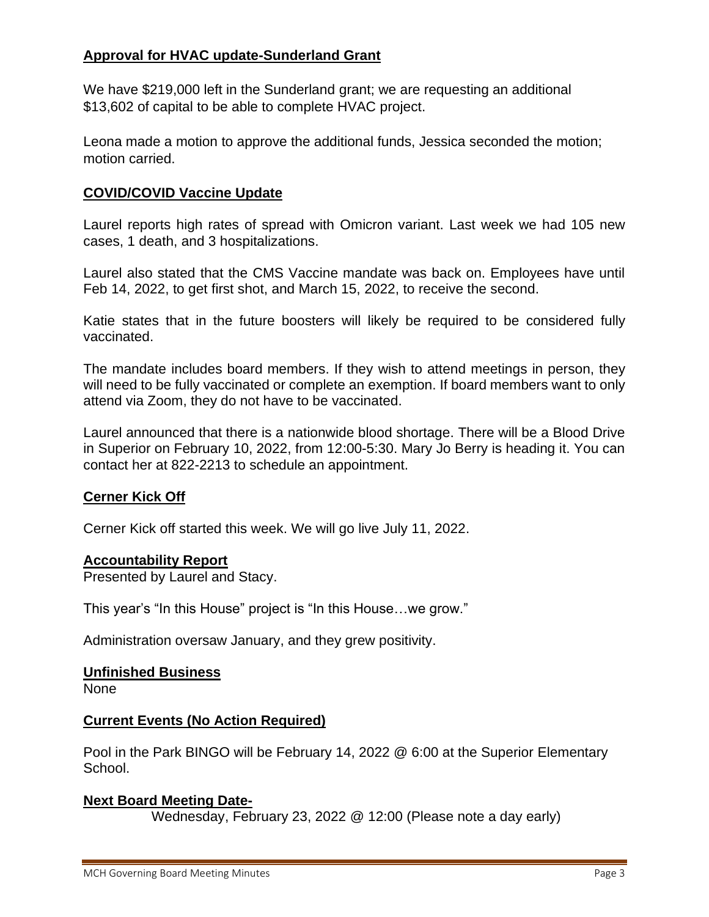## **Approval for HVAC update-Sunderland Grant**

We have \$219,000 left in the Sunderland grant; we are requesting an additional \$13,602 of capital to be able to complete HVAC project.

Leona made a motion to approve the additional funds, Jessica seconded the motion; motion carried.

### **COVID/COVID Vaccine Update**

Laurel reports high rates of spread with Omicron variant. Last week we had 105 new cases, 1 death, and 3 hospitalizations.

Laurel also stated that the CMS Vaccine mandate was back on. Employees have until Feb 14, 2022, to get first shot, and March 15, 2022, to receive the second.

Katie states that in the future boosters will likely be required to be considered fully vaccinated.

The mandate includes board members. If they wish to attend meetings in person, they will need to be fully vaccinated or complete an exemption. If board members want to only attend via Zoom, they do not have to be vaccinated.

Laurel announced that there is a nationwide blood shortage. There will be a Blood Drive in Superior on February 10, 2022, from 12:00-5:30. Mary Jo Berry is heading it. You can contact her at 822-2213 to schedule an appointment.

### **Cerner Kick Off**

Cerner Kick off started this week. We will go live July 11, 2022.

### **Accountability Report**

Presented by Laurel and Stacy.

This year's "In this House" project is "In this House…we grow."

Administration oversaw January, and they grew positivity.

#### **Unfinished Business**

None

### **Current Events (No Action Required)**

Pool in the Park BINGO will be February 14, 2022 @ 6:00 at the Superior Elementary School.

### **Next Board Meeting Date-**

Wednesday, February 23, 2022 @ 12:00 (Please note a day early)